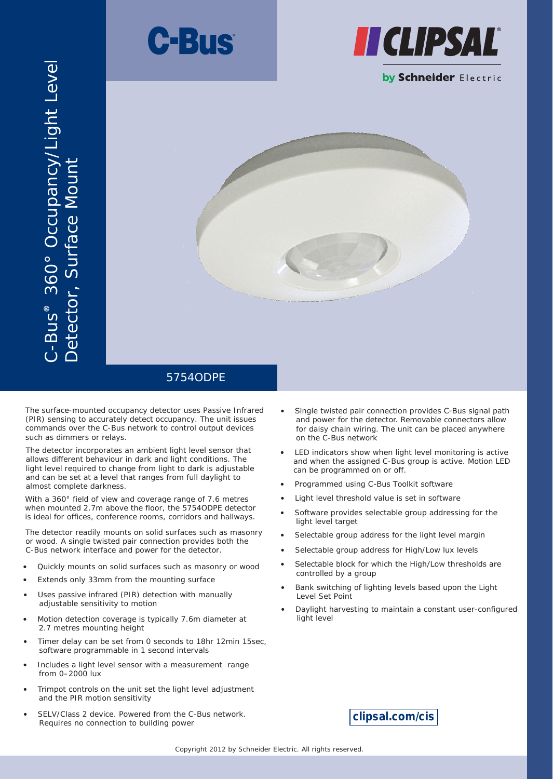



# 0° Occupancy/Light Level Detector, Surface Mount etector, Surface Moun s 36 ® C-Bu



The surface-mounted occupancy detector uses Passive Infrared (PIR) sensing to accurately detect occupancy. The unit issues commands over the C-Bus network to control output devices such as dimmers or relays.

The detector incorporates an ambient light level sensor that allows different behaviour in dark and light conditions. The light level required to change from light to dark is adjustable and can be set at a level that ranges from full daylight to almost complete darkness.

With a 360° field of view and coverage range of 7.6 metres when mounted 2.7m above the floor, the 5754ODPE detector is ideal for offices, conference rooms, corridors and hallways.

The detector readily mounts on solid surfaces such as masonry or wood. A single twisted pair connection provides both the C-Bus network interface and power for the detector.

- Quickly mounts on solid surfaces such as masonry or wood
- Extends only 33mm from the mounting surface
- Uses passive infrared (PIR) detection with manually adjustable sensitivity to motion
- Motion detection coverage is typically 7.6m diameter at 2.7 metres mounting height
- Timer delay can be set from 0 seconds to 18hr 12min 15sec. software programmable in 1 second intervals
- Includes a light level sensor with a measurement range from 0–2000 lux
- Trimpot controls on the unit set the light level adjustment and the PIR motion sensitivity
- SELV/Class 2 device. Powered from the C-Bus network. Requires no connection to building power
- Single twisted pair connection provides C-Bus signal path and power for the detector. Removable connectors allow for daisy chain wiring. The unit can be placed anywhere on the C-Bus network
- LED indicators show when light level monitoring is active and when the assigned C-Bus group is active. Motion LED can be programmed on or off.
- Programmed using C-Bus Toolkit software
- Light level threshold value is set in software
- Software provides selectable group addressing for the light level target
- Selectable group address for the light level margin
- Selectable group address for High/Low lux levels
- Selectable block for which the High/Low thresholds are controlled by a group
- Bank switching of lighting levels based upon the Light Level Set Point
- Daylight harvesting to maintain a constant user-configured light level